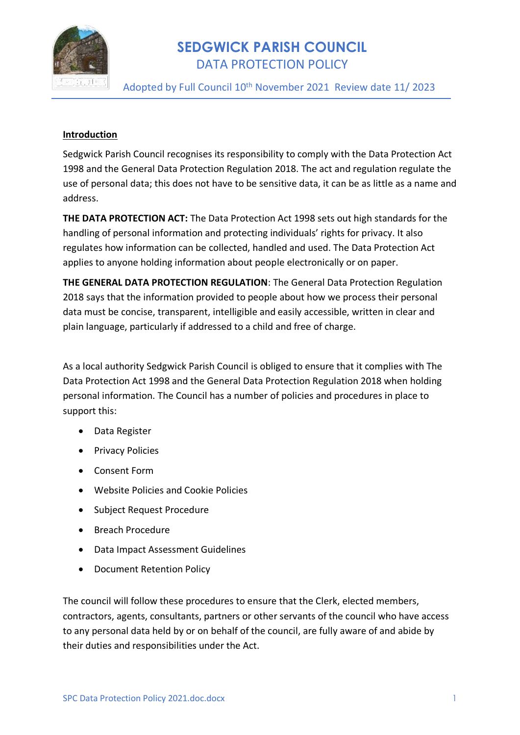

Adopted by Full Council 10<sup>th</sup> November 2021 Review date 11/2023

#### **Introduction**

Sedgwick Parish Council recognises its responsibility to comply with the Data Protection Act 1998 and the General Data Protection Regulation 2018. The act and regulation regulate the use of personal data; this does not have to be sensitive data, it can be as little as a name and address.

**THE DATA PROTECTION ACT:** The Data Protection Act 1998 sets out high standards for the handling of personal information and protecting individuals' rights for privacy. It also regulates how information can be collected, handled and used. The Data Protection Act applies to anyone holding information about people electronically or on paper.

**THE GENERAL DATA PROTECTION REGULATION**: The General Data Protection Regulation 2018 says that the information provided to people about how we process their personal data must be concise, transparent, intelligible and easily accessible, written in clear and plain language, particularly if addressed to a child and free of charge.

As a local authority Sedgwick Parish Council is obliged to ensure that it complies with The Data Protection Act 1998 and the General Data Protection Regulation 2018 when holding personal information. The Council has a number of policies and procedures in place to support this:

- Data Register
- Privacy Policies
- Consent Form
- Website Policies and Cookie Policies
- Subject Request Procedure
- Breach Procedure
- Data Impact Assessment Guidelines
- Document Retention Policy

The council will follow these procedures to ensure that the Clerk, elected members, contractors, agents, consultants, partners or other servants of the council who have access to any personal data held by or on behalf of the council, are fully aware of and abide by their duties and responsibilities under the Act.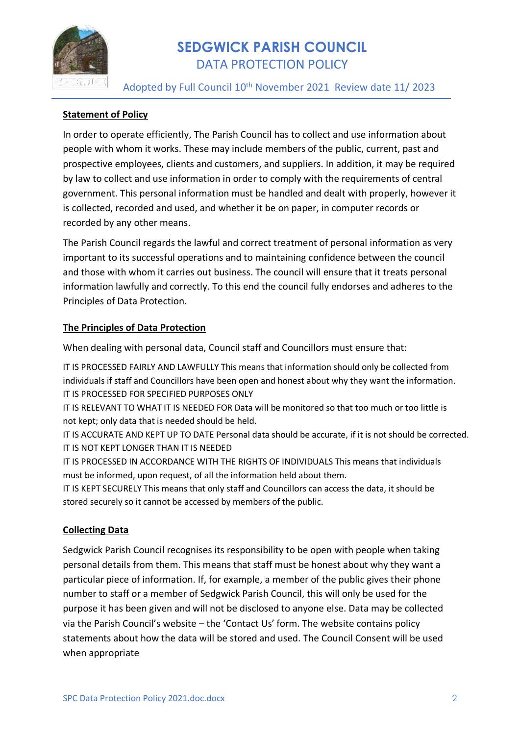

Adopted by Full Council 10<sup>th</sup> November 2021 Review date 11/2023

## **Statement of Policy**

In order to operate efficiently, The Parish Council has to collect and use information about people with whom it works. These may include members of the public, current, past and prospective employees, clients and customers, and suppliers. In addition, it may be required by law to collect and use information in order to comply with the requirements of central government. This personal information must be handled and dealt with properly, however it is collected, recorded and used, and whether it be on paper, in computer records or recorded by any other means.

The Parish Council regards the lawful and correct treatment of personal information as very important to its successful operations and to maintaining confidence between the council and those with whom it carries out business. The council will ensure that it treats personal information lawfully and correctly. To this end the council fully endorses and adheres to the Principles of Data Protection.

### **The Principles of Data Protection**

When dealing with personal data, Council staff and Councillors must ensure that:

IT IS PROCESSED FAIRLY AND LAWFULLY This means that information should only be collected from individuals if staff and Councillors have been open and honest about why they want the information. IT IS PROCESSED FOR SPECIFIED PURPOSES ONLY

IT IS RELEVANT TO WHAT IT IS NEEDED FOR Data will be monitored so that too much or too little is not kept; only data that is needed should be held.

IT IS ACCURATE AND KEPT UP TO DATE Personal data should be accurate, if it is not should be corrected. IT IS NOT KEPT LONGER THAN IT IS NEEDED

IT IS PROCESSED IN ACCORDANCE WITH THE RIGHTS OF INDIVIDUALS This means that individuals must be informed, upon request, of all the information held about them.

IT IS KEPT SECURELY This means that only staff and Councillors can access the data, it should be stored securely so it cannot be accessed by members of the public.

### **Collecting Data**

Sedgwick Parish Council recognises its responsibility to be open with people when taking personal details from them. This means that staff must be honest about why they want a particular piece of information. If, for example, a member of the public gives their phone number to staff or a member of Sedgwick Parish Council, this will only be used for the purpose it has been given and will not be disclosed to anyone else. Data may be collected via the Parish Council's website – the 'Contact Us' form. The website contains policy statements about how the data will be stored and used. The Council Consent will be used when appropriate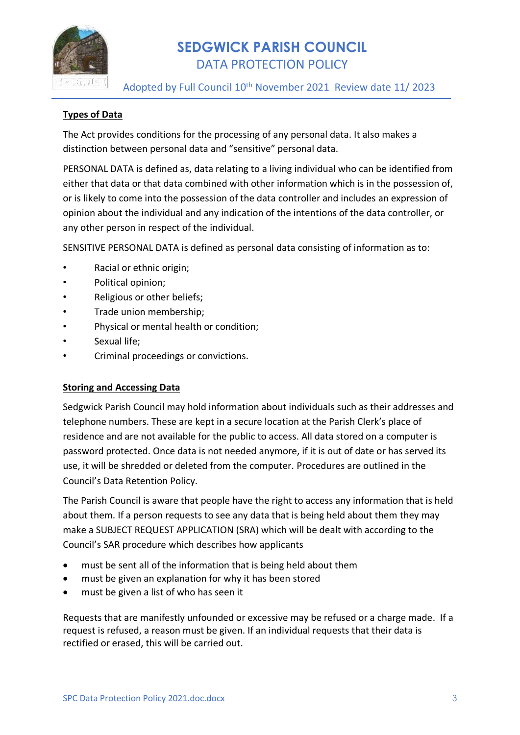

Adopted by Full Council 10<sup>th</sup> November 2021 Review date 11/2023

## **Types of Data**

The Act provides conditions for the processing of any personal data. It also makes a distinction between personal data and "sensitive" personal data.

PERSONAL DATA is defined as, data relating to a living individual who can be identified from either that data or that data combined with other information which is in the possession of, or is likely to come into the possession of the data controller and includes an expression of opinion about the individual and any indication of the intentions of the data controller, or any other person in respect of the individual.

SENSITIVE PERSONAL DATA is defined as personal data consisting of information as to:

- Racial or ethnic origin;
- Political opinion;
- Religious or other beliefs;
- Trade union membership;
- Physical or mental health or condition;
- Sexual life;
- Criminal proceedings or convictions.

### **Storing and Accessing Data**

Sedgwick Parish Council may hold information about individuals such as their addresses and telephone numbers. These are kept in a secure location at the Parish Clerk's place of residence and are not available for the public to access. All data stored on a computer is password protected. Once data is not needed anymore, if it is out of date or has served its use, it will be shredded or deleted from the computer. Procedures are outlined in the Council's Data Retention Policy.

The Parish Council is aware that people have the right to access any information that is held about them. If a person requests to see any data that is being held about them they may make a SUBJECT REQUEST APPLICATION (SRA) which will be dealt with according to the Council's SAR procedure which describes how applicants

- must be sent all of the information that is being held about them
- must be given an explanation for why it has been stored
- must be given a list of who has seen it

Requests that are manifestly unfounded or excessive may be refused or a charge made. If a request is refused, a reason must be given. If an individual requests that their data is rectified or erased, this will be carried out.